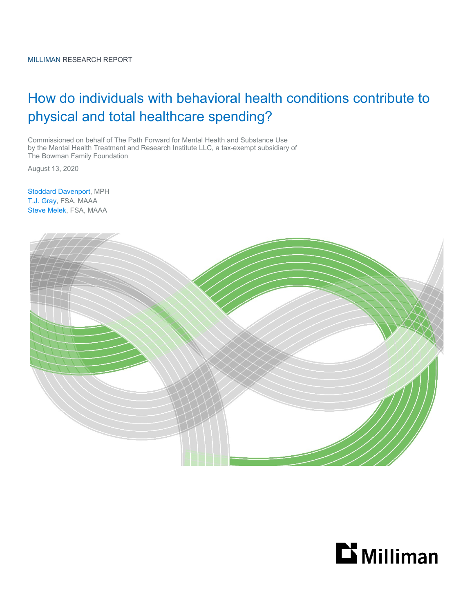# How do individuals with behavioral health conditions contribute to physical and total healthcare spending?

Commissioned on behalf of The Path Forward for Mental Health and Substance Use by the Mental Health Treatment and Research Institute LLC, a tax-exempt subsidiary of The Bowman Family Foundation

August 13, 2020

Stoddard Davenport, MPH T.J. Gray, FSA, MAAA Steve Melek, FSA, MAAA



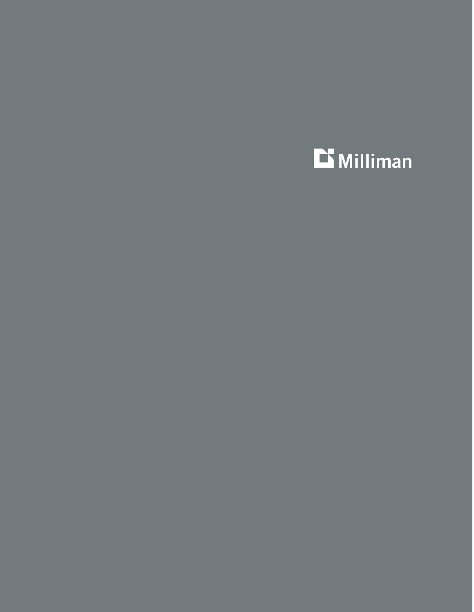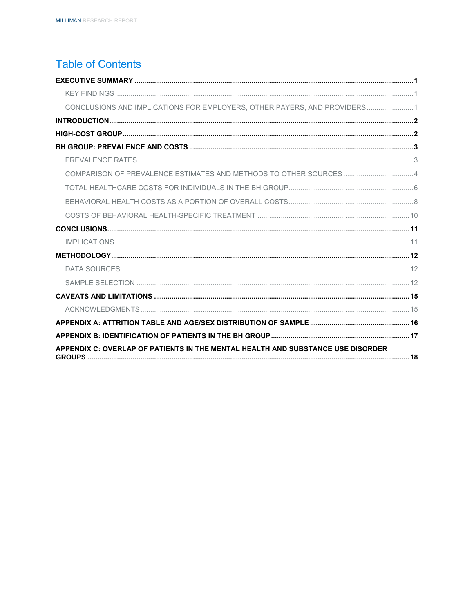## **Table of Contents**

| COMPARISON OF PREVALENCE ESTIMATES AND METHODS TO OTHER SOURCES4          |  |
|---------------------------------------------------------------------------|--|
|                                                                           |  |
|                                                                           |  |
|                                                                           |  |
|                                                                           |  |
| CONCLUSIONS AND IMPLICATIONS FOR EMPLOYERS, OTHER PAYERS, AND PROVIDERS 1 |  |
|                                                                           |  |
|                                                                           |  |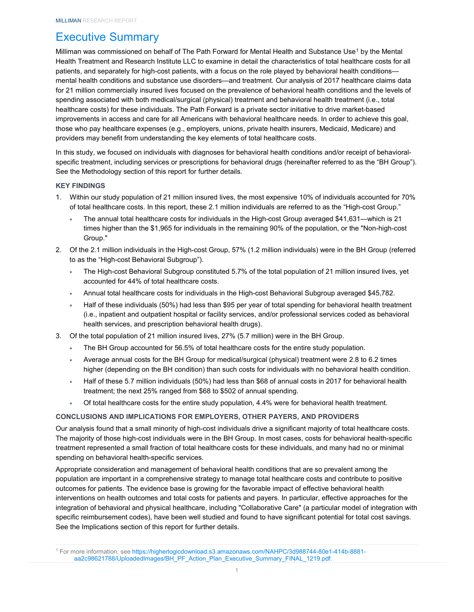## <span id="page-3-0"></span>Executive Summary

Milliman was commissioned on behalf of The Path Forward for Mental Health and Substance Use<sup>[1](#page-3-3)</sup> by the Mental Health Treatment and Research Institute LLC to examine in detail the characteristics of total healthcare costs for all patients, and separately for high-cost patients, with a focus on the role played by behavioral health conditions mental health conditions and substance use disorders—and treatment. Our analysis of 2017 healthcare claims data for 21 million commercially insured lives focused on the prevalence of behavioral health conditions and the levels of spending associated with both medical/surgical (physical) treatment and behavioral health treatment (i.e., total healthcare costs) for these individuals[. The Path Forward](https://www.nationalalliancehealth.org/www/initiatives/initiatives-national/workplace-mental-health/pathforward) is a private sector initiative to drive market-based improvements in access and care for all Americans with behavioral healthcare needs. In order to achieve this goal, those who pay healthcare expenses (e.g., employers, unions, private health insurers, Medicaid, Medicare) and providers may benefit from understanding the key elements of total healthcare costs.

In this study, we focused on individuals with diagnoses for behavioral health conditions and/or receipt of behavioralspecific treatment, including services or prescriptions for behavioral drugs (hereinafter referred to as the "BH Group"). See the Methodology section of this report for further details.

#### <span id="page-3-1"></span>**KEY FINDINGS**

- 1. Within our study population of 21 million insured lives, the most expensive 10% of individuals accounted for 70% of total healthcare costs. In this report, these 2.1 million individuals are referred to as the "High-cost Group."
	- The annual total healthcare costs for individuals in the High-cost Group averaged \$41,631—which is 21 times higher than the \$1,965 for individuals in the remaining 90% of the population, or the "Non-high-cost Group."
- 2. Of the 2.1 million individuals in the High-cost Group, 57% (1.2 million individuals) were in the BH Group (referred to as the "High-cost Behavioral Subgroup").
	- The High-cost Behavioral Subgroup constituted 5.7% of the total population of 21 million insured lives, yet accounted for 44% of total healthcare costs.
	- Annual total healthcare costs for individuals in the High-cost Behavioral Subgroup averaged \$45,782.
	- Half of these individuals (50%) had less than \$95 per year of total spending for behavioral health treatment (i.e., inpatient and outpatient hospital or facility services, and/or professional services coded as behavioral health services, and prescription behavioral health drugs).
- 3. Of the total population of 21 million insured lives, 27% (5.7 million) were in the BH Group.
	- The BH Group accounted for 56.5% of total healthcare costs for the entire study population.
	- Average annual costs for the BH Group for medical/surgical (physical) treatment were 2.8 to 6.2 times higher (depending on the BH condition) than such costs for individuals with no behavioral health condition.
	- Half of these 5.7 million individuals (50%) had less than \$68 of annual costs in 2017 for behavioral health treatment; the next 25% ranged from \$68 to \$502 of annual spending.
	- Of total healthcare costs for the entire study population, 4.4% were for behavioral health treatment.

### <span id="page-3-2"></span>**CONCLUSIONS AND IMPLICATIONS FOR EMPLOYERS, OTHER PAYERS, AND PROVIDERS**

Our analysis found that a small minority of high-cost individuals drive a significant majority of total healthcare costs. The majority of those high-cost individuals were in the BH Group. In most cases, costs for behavioral health-specific treatment represented a small fraction of total healthcare costs for these individuals, and many had no or minimal spending on behavioral health-specific services.

Appropriate consideration and management of behavioral health conditions that are so prevalent among the population are important in a comprehensive strategy to manage total healthcare costs and contribute to positive outcomes for patients. The evidence base is growing for the favorable impact of effective behavioral health interventions on health outcomes and total costs for patients and payers. In particular, effective approaches for the integration of behavioral and physical healthcare, including "Collaborative Care" (a particular model of integration with specific reimbursement codes), have been well studied and found to have significant potential for total cost savings. See the Implications section of this report for further details.

<span id="page-3-3"></span><sup>1</sup> For more information, see [https://higherlogicdownload.s3.amazonaws.com/NAHPC/3d988744-80e1-414b-8881](https://higherlogicdownload.s3.amazonaws.com/NAHPC/3d988744-80e1-414b-8881-aa2c98621788/UploadedImages/BH_PF_Action_Plan_Executive_Summary_FINAL_1219.pdf) [aa2c98621788/UploadedImages/BH\\_PF\\_Action\\_Plan\\_Executive\\_Summary\\_FINAL\\_1219.pdf.](https://higherlogicdownload.s3.amazonaws.com/NAHPC/3d988744-80e1-414b-8881-aa2c98621788/UploadedImages/BH_PF_Action_Plan_Executive_Summary_FINAL_1219.pdf)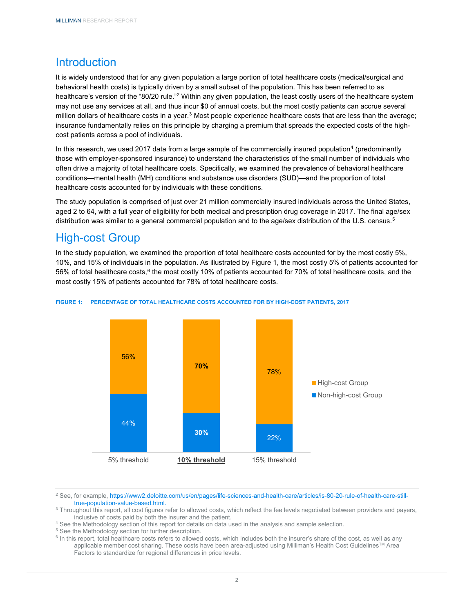## <span id="page-4-0"></span>**Introduction**

It is widely understood that for any given population a large portion of total healthcare costs (medical/surgical and behavioral health costs) is typically driven by a small subset of the population. This has been referred to as healthcare's version of the "80/20 rule."[2](#page-4-2) Within any given population, the least costly users of the healthcare system may not use any services at all, and thus incur \$0 of annual costs, but the most costly patients can accrue several million dollars of healthcare costs in a year.<sup>[3](#page-4-3)</sup> Most people experience healthcare costs that are less than the average; insurance fundamentally relies on this principle by charging a premium that spreads the expected costs of the highcost patients across a pool of individuals.

In this research, we used 2017 data from a large sample of the commercially insured population<sup>[4](#page-4-4)</sup> (predominantly those with employer-sponsored insurance) to understand the characteristics of the small number of individuals who often drive a majority of total healthcare costs. Specifically, we examined the prevalence of behavioral healthcare conditions—mental health (MH) conditions and substance use disorders (SUD)—and the proportion of total healthcare costs accounted for by individuals with these conditions.

The study population is comprised of just over 21 million commercially insured individuals across the United States, aged 2 to 64, with a full year of eligibility for both medical and prescription drug coverage in 2017. The final age/sex distribution was similar to a general commercial population and to the age/sex distribution of the U.S. census.<sup>[5](#page-4-5)</sup>

## <span id="page-4-1"></span>High-cost Group

In the study population, we examined the proportion of total healthcare costs accounted for by the most costly 5%, 10%, and 15% of individuals in the population. As illustrated by Figure 1, the most costly 5% of patients accounted for 5[6](#page-4-6)% of total healthcare costs,<sup>6</sup> the most costly 10% of patients accounted for 70% of total healthcare costs, and the most costly 15% of patients accounted for 78% of total healthcare costs.



### **FIGURE 1: PERCENTAGE OF TOTAL HEALTHCARE COSTS ACCOUNTED FOR BY HIGH-COST PATIENTS, 2017**

<span id="page-4-2"></span><sup>2</sup> See, for example, [https://www2.deloitte.com/us/en/pages/life-sciences-and-health-care/articles/is-80-20-rule-of-health-care-still](https://www2.deloitte.com/us/en/pages/life-sciences-and-health-care/articles/is-80-20-rule-of-health-care-still-true-population-value-based.html)[true-population-value-based.html.](https://www2.deloitte.com/us/en/pages/life-sciences-and-health-care/articles/is-80-20-rule-of-health-care-still-true-population-value-based.html)

<span id="page-4-4"></span><sup>4</sup> See the Methodology section of this report for details on data used in the analysis and sample selection.

<sup>5</sup> See the Methodology section for further description.

<span id="page-4-6"></span><span id="page-4-5"></span><sup>6</sup> In this report, total healthcare costs refers to allowed costs, which includes both the insurer's share of the cost, as well as any applicable member cost sharing. These costs have been area-adjusted using Milliman's Health Cost Guidelines™ Area Factors to standardize for regional differences in price levels.

<span id="page-4-3"></span><sup>&</sup>lt;sup>3</sup> Throughout this report, all cost figures refer to allowed costs, which reflect the fee levels negotiated between providers and payers, inclusive of costs paid by both the insurer and the patient.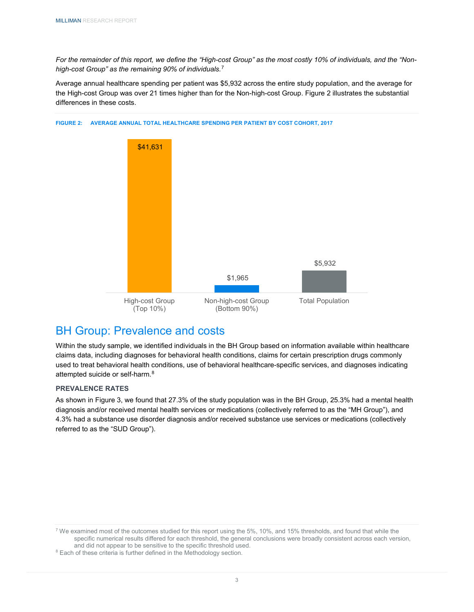*For the remainder of this report, we define the "High-cost Group" as the most costly 10% of individuals, and the "Nonhigh-cost Group" as the remaining 90% of individuals.*[7](#page-5-2)

Average annual healthcare spending per patient was \$5,932 across the entire study population, and the average for the High-cost Group was over 21 times higher than for the Non-high-cost Group. Figure 2 illustrates the substantial differences in these costs.



**FIGURE 2: AVERAGE ANNUAL TOTAL HEALTHCARE SPENDING PER PATIENT BY COST COHORT, 2017**

## <span id="page-5-0"></span>BH Group: Prevalence and costs

Within the study sample, we identified individuals in the BH Group based on information available within healthcare claims data, including diagnoses for behavioral health conditions, claims for certain prescription drugs commonly used to treat behavioral health conditions, use of behavioral healthcare-specific services, and diagnoses indicating attempted suicide or self-harm.[8](#page-5-3)

### <span id="page-5-1"></span>**PREVALENCE RATES**

As shown in Figure 3, we found that 27.3% of the study population was in the BH Group, 25.3% had a mental health diagnosis and/or received mental health services or medications (collectively referred to as the "MH Group"), and 4.3% had a substance use disorder diagnosis and/or received substance use services or medications (collectively referred to as the "SUD Group").

<span id="page-5-2"></span> $7$  We examined most of the outcomes studied for this report using the 5%, 10%, and 15% thresholds, and found that while the specific numerical results differed for each threshold, the general conclusions were broadly consistent across each version, and did not appear to be sensitive to the specific threshold used.

<span id="page-5-3"></span><sup>8</sup> Each of these criteria is further defined in the Methodology section.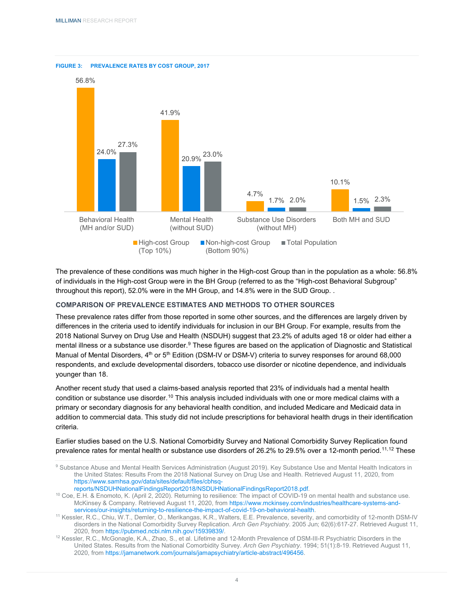**FIGURE 3: PREVALENCE RATES BY COST GROUP, 2017**



The prevalence of these conditions was much higher in the High-cost Group than in the population as a whole: 56.8% of individuals in the High-cost Group were in the BH Group (referred to as the "High-cost Behavioral Subgroup" throughout this report), 52.0% were in the MH Group, and 14.8% were in the SUD Group. .

## <span id="page-6-0"></span>**COMPARISON OF PREVALENCE ESTIMATES AND METHODS TO OTHER SOURCES**

These prevalence rates differ from those reported in some other sources, and the differences are largely driven by differences in the criteria used to identify individuals for inclusion in our BH Group. For example, results from the 2018 National Survey on Drug Use and Health (NSDUH) suggest that 23.2% of adults aged 18 or older had either a mental illness or a substance use disorder.<sup>[9](#page-6-1)</sup> These figures are based on the application of Diagnostic and Statistical Manual of Mental Disorders, 4<sup>th</sup> or 5<sup>th</sup> Edition (DSM-IV or DSM-V) criteria to survey responses for around 68,000 respondents, and exclude developmental disorders, tobacco use disorder or nicotine dependence, and individuals younger than 18.

Another recent study that used a claims-based analysis reported that 23% of individuals had a mental health condition or substance use disorder.[10](#page-6-2) This analysis included individuals with one or more medical claims with a primary or secondary diagnosis for any behavioral health condition, and included Medicare and Medicaid data in addition to commercial data. This study did not include prescriptions for behavioral health drugs in their identification criteria.

Earlier studies based on the U.S. National Comorbidity Survey and National Comorbidity Survey Replication found prevalence rates for mental health or substance use disorders of 26.2% to 29.5% over a 12-month period.<sup>[11](#page-6-3),[12](#page-6-4)</sup> These

<span id="page-6-2"></span><sup>10</sup> Coe, E.H. & Enomoto, K. (April 2, 2020). Returning to resilience: The impact of COVID-19 on mental health and substance use. McKinsey & Company. Retrieved August 11, 2020, fro[m https://www.mckinsey.com/industries/healthcare-systems-and](https://www.mckinsey.com/industries/healthcare-systems-and-services/our-insights/returning-to-resilience-the-impact-of-covid-19-on-behavioral-health)[services/our-insights/returning-to-resilience-the-impact-of-covid-19-on-behavioral-health.](https://www.mckinsey.com/industries/healthcare-systems-and-services/our-insights/returning-to-resilience-the-impact-of-covid-19-on-behavioral-health)

<span id="page-6-4"></span><sup>12</sup> Kessler, R.C., McGonagle, K.A., Zhao, S., et al. Lifetime and 12-Month Prevalence of DSM-III-R Psychiatric Disorders in the United States. Results from the National Comorbidity Survey. *Arch Gen Psychiatry*. 1994; 51(1):8-19. Retrieved August 11, 2020, fro[m https://jamanetwork.com/journals/jamapsychiatry/article-abstract/496456.](https://jamanetwork.com/journals/jamapsychiatry/article-abstract/496456)

<span id="page-6-1"></span><sup>9</sup> Substance Abuse and Mental Health Services Administration (August 2019). Key Substance Use and Mental Health Indicators in the United States: Results From the 2018 National Survey on Drug Use and Health. Retrieved August 11, 2020, from [https://www.samhsa.gov/data/sites/default/files/cbhsq-](https://www.samhsa.gov/data/sites/default/files/cbhsq-reports/NSDUHNationalFindingsReport2018/NSDUHNationalFindingsReport2018.pdf)

[reports/NSDUHNationalFindingsReport2018/NSDUHNationalFindingsReport2018.pdf.](https://www.samhsa.gov/data/sites/default/files/cbhsq-reports/NSDUHNationalFindingsReport2018/NSDUHNationalFindingsReport2018.pdf)

<span id="page-6-3"></span><sup>11</sup> Kessler, R.C., Chiu, W.T., Demler, O., Merikangas, K.R., Walters, E.E. Prevalence, severity, and comorbidity of 12-month DSM-IV disorders in the National Comorbidity Survey Replication. *Arch Gen Psychiatry*. 2005 Jun; 62(6):617-27. Retrieved August 11, 2020, fro[m https://pubmed.ncbi.nlm.nih.gov/15939839/.](https://pubmed.ncbi.nlm.nih.gov/15939839/)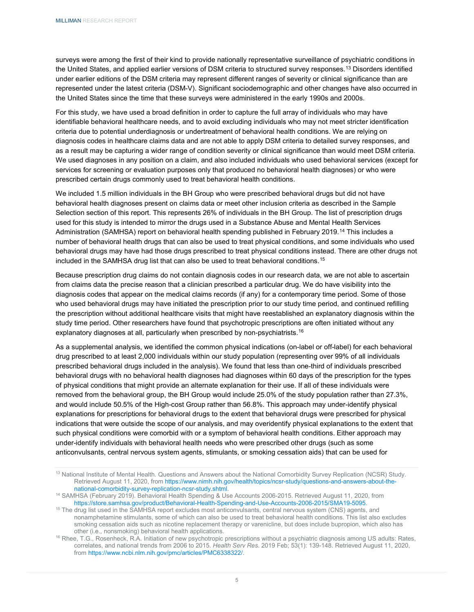surveys were among the first of their kind to provide nationally representative surveillance of psychiatric conditions in the United States, and applied earlier versions of DSM criteria to structured survey responses. [13](#page-7-0) Disorders identified under earlier editions of the DSM criteria may represent different ranges of severity or clinical significance than are represented under the latest criteria (DSM-V). Significant sociodemographic and other changes have also occurred in the United States since the time that these surveys were administered in the early 1990s and 2000s.

For this study, we have used a broad definition in order to capture the full array of individuals who may have identifiable behavioral healthcare needs, and to avoid excluding individuals who may not meet stricter identification criteria due to potential underdiagnosis or undertreatment of behavioral health conditions. We are relying on diagnosis codes in healthcare claims data and are not able to apply DSM criteria to detailed survey responses, and as a result may be capturing a wider range of condition severity or clinical significance than would meet DSM criteria. We used diagnoses in any position on a claim, and also included individuals who used behavioral services (except for services for screening or evaluation purposes only that produced no behavioral health diagnoses) or who were prescribed certain drugs commonly used to treat behavioral health conditions.

We included 1.5 million individuals in the BH Group who were prescribed behavioral drugs but did not have behavioral health diagnoses present on claims data or meet other inclusion criteria as described in the Sample Selection section of this report. This represents 26% of individuals in the BH Group. The list of prescription drugs used for this study is intended to mirror the drugs used in a Substance Abuse and Mental Health Services Administration (SAMHSA) report on behavioral health spending published in February 2019.[14](#page-7-1) This includes a number of behavioral health drugs that can also be used to treat physical conditions, and some individuals who used behavioral drugs may have had those drugs prescribed to treat physical conditions instead. There are other drugs not included in the SAMHSA drug list that can also be used to treat behavioral conditions.[15](#page-7-2)

Because prescription drug claims do not contain diagnosis codes in our research data, we are not able to ascertain from claims data the precise reason that a clinician prescribed a particular drug. We do have visibility into the diagnosis codes that appear on the medical claims records (if any) for a contemporary time period. Some of those who used behavioral drugs may have initiated the prescription prior to our study time period, and continued refilling the prescription without additional healthcare visits that might have reestablished an explanatory diagnosis within the study time period. Other researchers have found that psychotropic prescriptions are often initiated without any explanatory diagnoses at all, particularly when prescribed by non-psychiatrists.<sup>[16](#page-7-3)</sup>

As a supplemental analysis, we identified the common physical indications (on-label or off-label) for each behavioral drug prescribed to at least 2,000 individuals within our study population (representing over 99% of all individuals prescribed behavioral drugs included in the analysis). We found that less than one-third of individuals prescribed behavioral drugs with no behavioral health diagnoses had diagnoses within 60 days of the prescription for the types of physical conditions that might provide an alternate explanation for their use. If all of these individuals were removed from the behavioral group, the BH Group would include 25.0% of the study population rather than 27.3%, and would include 50.5% of the High-cost Group rather than 56.8%. This approach may under-identify physical explanations for prescriptions for behavioral drugs to the extent that behavioral drugs were prescribed for physical indications that were outside the scope of our analysis, and may overidentify physical explanations to the extent that such physical conditions were comorbid with or a symptom of behavioral health conditions. Either approach may under-identify individuals with behavioral health needs who were prescribed other drugs (such as some anticonvulsants, central nervous system agents, stimulants, or smoking cessation aids) that can be used for

<span id="page-7-2"></span><sup>15</sup> The drug list used in the SAMHSA report excludes most anticonvulsants, central nervous system (CNS) agents, and nonamphetamine stimulants, some of which can also be used to treat behavioral health conditions. This list also excludes smoking cessation aids such as nicotine replacement therapy or varenicline, but does include bupropion, which also has other (i.e., nonsmoking) behavioral health applications.

<span id="page-7-0"></span><sup>&</sup>lt;sup>13</sup> National Institute of Mental Health. Questions and Answers about the National Comorbidity Survey Replication (NCSR) Study. Retrieved August 11, 2020, from [https://www.nimh.nih.gov/health/topics/ncsr-study/questions-and-answers-about-the](https://www.nimh.nih.gov/health/topics/ncsr-study/questions-and-answers-about-the-national-comorbidity-survey-replication-ncsr-study.shtml)[national-comorbidity-survey-replication-ncsr-study.shtml.](https://www.nimh.nih.gov/health/topics/ncsr-study/questions-and-answers-about-the-national-comorbidity-survey-replication-ncsr-study.shtml)

<span id="page-7-1"></span><sup>14</sup> SAMHSA (February 2019). Behavioral Health Spending & Use Accounts 2006-2015. Retrieved August 11, 2020, from [https://store.samhsa.gov/product/Behavioral-Health-Spending-and-Use-Accounts-2006-2015/SMA19-5095.](https://store.samhsa.gov/product/Behavioral-Health-Spending-and-Use-Accounts-2006-2015/SMA19-5095)

<span id="page-7-3"></span><sup>&</sup>lt;sup>16</sup> Rhee, T.G., Rosenheck, R.A. Initiation of new psychotropic prescriptions without a psychiatric diagnosis among US adults: Rates, correlates, and national trends from 2006 to 2015. *Health Serv Res*. 2019 Feb; 53(1): 139-148. Retrieved August 11, 2020, from [https://www.ncbi.nlm.nih.gov/pmc/articles/PMC6338322/.](https://www.ncbi.nlm.nih.gov/pmc/articles/PMC6338322/)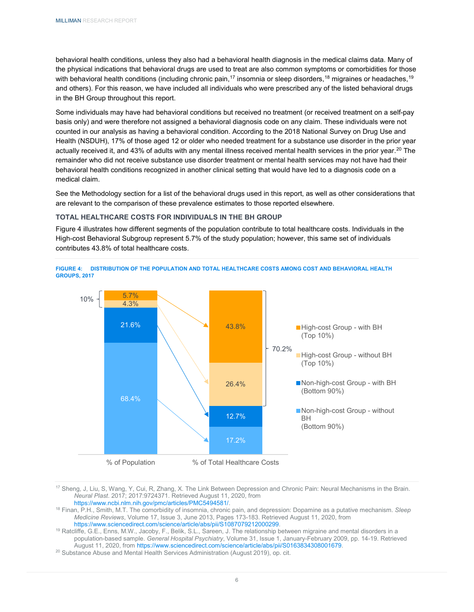behavioral health conditions, unless they also had a behavioral health diagnosis in the medical claims data. Many of the physical indications that behavioral drugs are used to treat are also common symptoms or comorbidities for those with behavioral health conditions (including chronic pain,<sup>[17](#page-8-1)</sup> insomnia or sleep disorders,<sup>18</sup> migraines or headaches,<sup>[19](#page-8-3)</sup> and others). For this reason, we have included all individuals who were prescribed any of the listed behavioral drugs in the BH Group throughout this report.

Some individuals may have had behavioral conditions but received no treatment (or received treatment on a self-pay basis only) and were therefore not assigned a behavioral diagnosis code on any claim. These individuals were not counted in our analysis as having a behavioral condition. According to the 2018 National Survey on Drug Use and Health (NSDUH), 17% of those aged 12 or older who needed treatment for a substance use disorder in the prior year actually received it, and 43% of adults with any mental illness received mental health services in the prior year.<sup>[20](#page-8-4)</sup> The remainder who did not receive substance use disorder treatment or mental health services may not have had their behavioral health conditions recognized in another clinical setting that would have led to a diagnosis code on a medical claim.

See the Methodology section for a list of the behavioral drugs used in this report, as well as other considerations that are relevant to the comparison of these prevalence estimates to those reported elsewhere.

### <span id="page-8-0"></span>**TOTAL HEALTHCARE COSTS FOR INDIVIDUALS IN THE BH GROUP**

Figure 4 illustrates how different segments of the population contribute to total healthcare costs. Individuals in the High-cost Behavioral Subgroup represent 5.7% of the study population; however, this same set of individuals contributes 43.8% of total healthcare costs.





<span id="page-8-1"></span><sup>17</sup> Sheng, J, Liu, S, Wang, Y, Cui, R, Zhang, X. The Link Between Depression and Chronic Pain: Neural Mechanisms in the Brain. *Neural Plast*. 2017; 2017:9724371. Retrieved August 11, 2020, from

[https://www.ncbi.nlm.nih.gov/pmc/articles/PMC5494581/.](https://www.ncbi.nlm.nih.gov/pmc/articles/PMC5494581/)

<span id="page-8-2"></span><sup>18</sup> Finan, P.H., Smith, M.T. The comorbidity of insomnia, chronic pain, and depression: Dopamine as a putative mechanism. *Sleep Medicine Reviews*, Volume 17, Issue 3, June 2013, Pages 173-183. Retrieved August 11, 2020, from [https://www.sciencedirect.com/science/article/abs/pii/S1087079212000299.](https://www.sciencedirect.com/science/article/abs/pii/S1087079212000299)

<span id="page-8-3"></span><sup>19</sup> Ratcliffe, G.E., Enns, M.W., Jacoby, F., Belik, S.L., Sareen, J. The relationship between migraine and mental disorders in a population-based sample. *General Hospital Psychiatry*, Volume 31, Issue 1, January-February 2009, pp. 14-19. Retrieved August 11, 2020, fro[m https://www.sciencedirect.com/science/article/abs/pii/S0163834308001679.](https://www.sciencedirect.com/science/article/abs/pii/S0163834308001679)

<span id="page-8-4"></span><sup>20</sup> Substance Abuse and Mental Health Services Administration (August 2019), op. cit.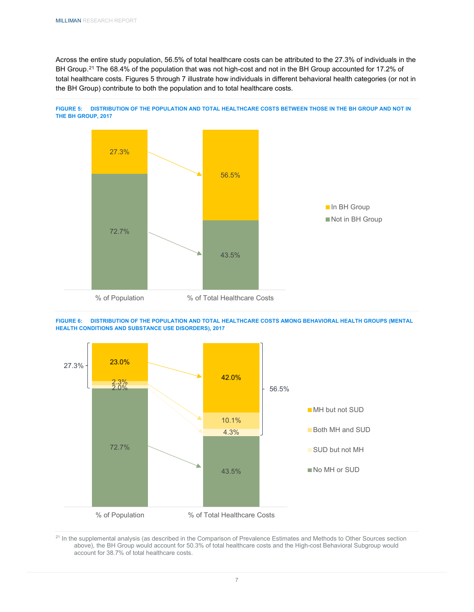Across the entire study population, 56.5% of total healthcare costs can be attributed to the 27.3% of individuals in the BH Group.<sup>[21](#page-9-0)</sup> The 68.4% of the population that was not high-cost and not in the BH Group accounted for 17.2% of total healthcare costs. Figures 5 through 7 illustrate how individuals in different behavioral health categories (or not in the BH Group) contribute to both the population and to total healthcare costs.









<span id="page-9-0"></span><sup>21</sup> In the supplemental analysis (as described in the Comparison of Prevalence Estimates and Methods to Other Sources section above), the BH Group would account for 50.3% of total healthcare costs and the High-cost Behavioral Subgroup would account for 38.7% of total healthcare costs.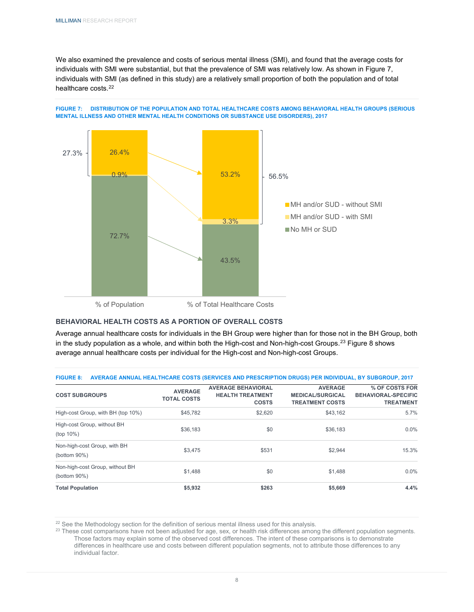We also examined the prevalence and costs of serious mental illness (SMI), and found that the average costs for individuals with SMI were substantial, but that the prevalence of SMI was relatively low. As shown in Figure 7, individuals with SMI (as defined in this study) are a relatively small proportion of both the population and of total healthcare costs.[22](#page-10-1)





### <span id="page-10-0"></span>**BEHAVIORAL HEALTH COSTS AS A PORTION OF OVERALL COSTS**

Average annual healthcare costs for individuals in the BH Group were higher than for those not in the BH Group, both in the study population as a whole, and within both the High-cost and Non-high-cost Groups.<sup>[23](#page-10-2)</sup> Figure 8 shows average annual healthcare costs per individual for the High-cost and Non-high-cost Groups.

| FIGURE 8: AVERAGE ANNUAL HEALTHCARE COSTS (SERVICES AND PRESCRIPTION DRUGS) PER INDIVIDUAL, BY SUBGROUP, 2017 |                           |                |                |
|---------------------------------------------------------------------------------------------------------------|---------------------------|----------------|----------------|
|                                                                                                               | <b>AVERAGE BEHAVIORAL</b> | <b>AVERAGE</b> | % OF COSTS FOF |

| <b>COST SUBGROUPS</b>                               | <b>AVERAGE</b><br><b>TOTAL COSTS</b> | <b>AVERAGE BEHAVIORAL</b><br><b>HEALTH TREATMENT</b><br><b>COSTS</b> | <b>AVERAGE</b><br><b>MEDICAL/SURGICAL</b><br><b>TREATMENT COSTS</b> | % OF COSTS FOR<br><b>BEHAVIORAL-SPECIFIC</b><br><b>TREATMENT</b> |
|-----------------------------------------------------|--------------------------------------|----------------------------------------------------------------------|---------------------------------------------------------------------|------------------------------------------------------------------|
| High-cost Group, with BH (top 10%)                  | \$45,782                             | \$2,620                                                              | \$43.162                                                            | 5.7%                                                             |
| High-cost Group, without BH<br>(top 10%)            | \$36,183                             | \$0                                                                  | \$36,183                                                            | $0.0\%$                                                          |
| Non-high-cost Group, with BH<br>(bottom $90\%$ )    | \$3,475                              | \$531                                                                | \$2.944                                                             | 15.3%                                                            |
| Non-high-cost Group, without BH<br>(bottom $90\%$ ) | \$1,488                              | \$0                                                                  | \$1,488                                                             | $0.0\%$                                                          |
| <b>Total Population</b>                             | \$5,932                              | \$263                                                                | \$5,669                                                             | 4.4%                                                             |

<span id="page-10-1"></span><sup>22</sup> See the Methodology section for the definition of serious mental illness used for this analysis.

<span id="page-10-2"></span><sup>23</sup> These cost comparisons have not been adjusted for age, sex, or health risk differences among the different population segments. Those factors may explain some of the observed cost differences. The intent of these comparisons is to demonstrate differences in healthcare use and costs between different population segments, not to attribute those differences to any individual factor.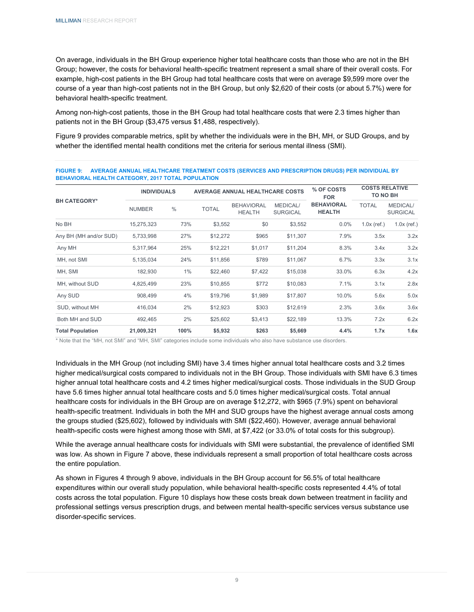On average, individuals in the BH Group experience higher total healthcare costs than those who are not in the BH Group; however, the costs for behavioral health-specific treatment represent a small share of their overall costs. For example, high-cost patients in the BH Group had total healthcare costs that were on average \$9,599 more over the course of a year than high-cost patients not in the BH Group, but only \$2,620 of their costs (or about 5.7%) were for behavioral health-specific treatment.

Among non-high-cost patients, those in the BH Group had total healthcare costs that were 2.3 times higher than patients not in the BH Group (\$3,475 versus \$1,488, respectively).

Figure 9 provides comparable metrics, split by whether the individuals were in the BH, MH, or SUD Groups, and by whether the identified mental health conditions met the criteria for serious mental illness (SMI).

| <b>BEHAVIORAL HEALTH CATEGORY, 2017 TOTAL POPULATION</b> |                    |               |                                        |                                    |                                    |                                    |                                   |                                    |
|----------------------------------------------------------|--------------------|---------------|----------------------------------------|------------------------------------|------------------------------------|------------------------------------|-----------------------------------|------------------------------------|
|                                                          | <b>INDIVIDUALS</b> |               | <b>AVERAGE ANNUAL HEALTHCARE COSTS</b> |                                    |                                    | % OF COSTS<br><b>FOR</b>           | <b>COSTS RELATIVE</b><br>TO NO BH |                                    |
| <b>BH CATEGORY*</b>                                      | <b>NUMBER</b>      | $\frac{0}{0}$ | <b>TOTAL</b>                           | <b>BEHAVIORAL</b><br><b>HEALTH</b> | <b>MEDICAL/</b><br><b>SURGICAL</b> | <b>BEHAVIORAL</b><br><b>HEALTH</b> | <b>TOTAL</b>                      | <b>MEDICAL/</b><br><b>SURGICAL</b> |
| No BH                                                    | 15,275,323         | 73%           | \$3,552                                | \$0                                | \$3,552                            | 0.0%                               | $1.0x$ (ref.)                     | $1.0x$ (ref.)                      |
| Any BH (MH and/or SUD)                                   | 5,733,998          | 27%           | \$12,272                               | \$965                              | \$11,307                           | 7.9%                               | 3.5x                              | 3.2x                               |
| Any MH                                                   | 5,317,964          | 25%           | \$12,221                               | \$1,017                            | \$11,204                           | 8.3%                               | 3.4x                              | 3.2x                               |
| MH, not SMI                                              | 5,135,034          | 24%           | \$11,856                               | \$789                              | \$11,067                           | 6.7%                               | 3.3x                              | 3.1x                               |
| MH, SMI                                                  | 182,930            | $1\%$         | \$22,460                               | \$7,422                            | \$15,038                           | 33.0%                              | 6.3x                              | 4.2x                               |
| MH, without SUD                                          | 4,825,499          | 23%           | \$10,855                               | \$772                              | \$10,083                           | 7.1%                               | 3.1x                              | 2.8x                               |
| Any SUD                                                  | 908,499            | 4%            | \$19,796                               | \$1,989                            | \$17,807                           | 10.0%                              | 5.6x                              | 5.0x                               |
| SUD, without MH                                          | 416,034            | 2%            | \$12,923                               | \$303                              | \$12,619                           | 2.3%                               | 3.6x                              | 3.6x                               |
| Both MH and SUD                                          | 492,465            | 2%            | \$25,602                               | \$3,413                            | \$22,189                           | 13.3%                              | 7.2x                              | 6.2x                               |
| <b>Total Population</b>                                  | 21,009,321         | 100%          | \$5,932                                | \$263                              | \$5,669                            | 4.4%                               | 1.7x                              | 1.6x                               |

**FIGURE 9: AVERAGE ANNUAL HEALTHCARE TREATMENT COSTS (SERVICES AND PRESCRIPTION DRUGS) PER INDIVIDUAL BY** 

\* Note that the "MH, not SMI" and "MH, SMI" categories include some individuals who also have substance use disorders.

Individuals in the MH Group (not including SMI) have 3.4 times higher annual total healthcare costs and 3.2 times higher medical/surgical costs compared to individuals not in the BH Group. Those individuals with SMI have 6.3 times higher annual total healthcare costs and 4.2 times higher medical/surgical costs. Those individuals in the SUD Group have 5.6 times higher annual total healthcare costs and 5.0 times higher medical/surgical costs. Total annual healthcare costs for individuals in the BH Group are on average \$12,272, with \$965 (7.9%) spent on behavioral health-specific treatment. Individuals in both the MH and SUD groups have the highest average annual costs among the groups studied (\$25,602), followed by individuals with SMI (\$22,460). However, average annual behavioral health-specific costs were highest among those with SMI, at \$7,422 (or 33.0% of total costs for this subgroup).

While the average annual healthcare costs for individuals with SMI were substantial, the prevalence of identified SMI was low. As shown in Figure 7 above, these individuals represent a small proportion of total healthcare costs across the entire population.

As shown in Figures 4 through 9 above, individuals in the BH Group account for 56.5% of total healthcare expenditures within our overall study population, while behavioral health-specific costs represented 4.4% of total costs across the total population. Figure 10 displays how these costs break down between treatment in facility and professional settings versus prescription drugs, and between mental health-specific services versus substance use disorder-specific services.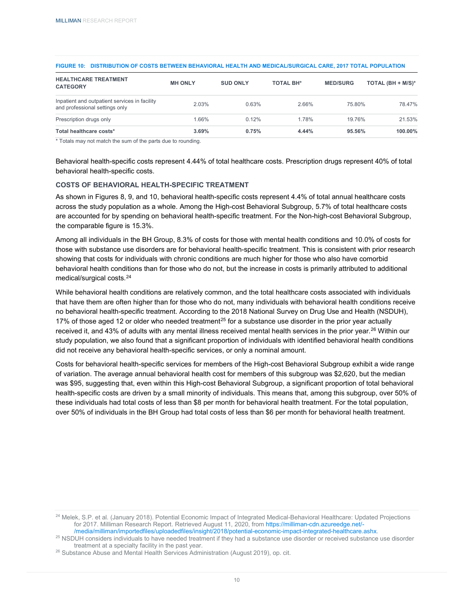| FIGURE 10: DISTRIBUTION OF COSTS BETWEEN BEHAVIORAL HEALTH AND MEDICAL/SURGICAL CARE, 2017 TOTAL POPULATION |
|-------------------------------------------------------------------------------------------------------------|
| $\blacksquare$                                                                                              |

| <b>HEALTHCARE TREATMENT</b><br><b>CATEGORY</b>                                  | <b>MH ONLY</b> | <b>SUD ONLY</b> | <b>TOTAL BH*</b> | <b>MED/SURG</b> | TOTAL $(BH + M/S)^*$ |
|---------------------------------------------------------------------------------|----------------|-----------------|------------------|-----------------|----------------------|
| Inpatient and outpatient services in facility<br>and professional settings only | 2.03%          | 0.63%           | 2.66%            | 75.80%          | 78.47%               |
| Prescription drugs only                                                         | 1.66%          | 0.12%           | 1.78%            | 19.76%          | 21.53%               |
| Total healthcare costs*                                                         | 3.69%          | 0.75%           | 4.44%            | 95.56%          | 100.00%              |

\* Totals may not match the sum of the parts due to rounding.

Behavioral health-specific costs represent 4.44% of total healthcare costs. Prescription drugs represent 40% of total behavioral health-specific costs.

### <span id="page-12-0"></span>**COSTS OF BEHAVIORAL HEALTH-SPECIFIC TREATMENT**

As shown in Figures 8, 9, and 10, behavioral health-specific costs represent 4.4% of total annual healthcare costs across the study population as a whole. Among the High-cost Behavioral Subgroup, 5.7% of total healthcare costs are accounted for by spending on behavioral health-specific treatment. For the Non-high-cost Behavioral Subgroup, the comparable figure is 15.3%.

Among all individuals in the BH Group, 8.3% of costs for those with mental health conditions and 10.0% of costs for those with substance use disorders are for behavioral health-specific treatment. This is consistent with prior research showing that costs for individuals with chronic conditions are much higher for those who also have comorbid behavioral health conditions than for those who do not, but the increase in costs is primarily attributed to additional medical/surgical costs.[24](#page-12-1)

While behavioral health conditions are relatively common, and the total healthcare costs associated with individuals that have them are often higher than for those who do not, many individuals with behavioral health conditions receive no behavioral health-specific treatment. According to the 2018 National Survey on Drug Use and Health (NSDUH), 17% of those aged 12 or older who needed treatment<sup>[25](#page-12-2)</sup> for a substance use disorder in the prior year actually received it, and 43% of adults with any mental illness received mental health services in the prior year.<sup>[26](#page-12-3)</sup> Within our study population, we also found that a significant proportion of individuals with identified behavioral health conditions did not receive any behavioral health-specific services, or only a nominal amount.

Costs for behavioral health-specific services for members of the High-cost Behavioral Subgroup exhibit a wide range of variation. The average annual behavioral health cost for members of this subgroup was \$2,620, but the median was \$95, suggesting that, even within this High-cost Behavioral Subgroup, a significant proportion of total behavioral health-specific costs are driven by a small minority of individuals. This means that, among this subgroup, over 50% of these individuals had total costs of less than \$8 per month for behavioral health treatment. For the total population, over 50% of individuals in the BH Group had total costs of less than \$6 per month for behavioral health treatment.

<span id="page-12-1"></span><sup>&</sup>lt;sup>24</sup> Melek, S.P. et al. (January 2018). Potential Economic Impact of Integrated Medical-Behavioral Healthcare: Updated Projections for 2017. Milliman Research Report. Retrieved August 11, 2020, fro[m https://milliman-cdn.azureedge.net/-](https://milliman-cdn.azureedge.net/-/media/milliman/importedfiles/uploadedfiles/insight/2018/potential-economic-impact-integrated-healthcare.ashx) [/media/milliman/importedfiles/uploadedfiles/insight/2018/potential-economic-impact-integrated-healthcare.ashx.](https://milliman-cdn.azureedge.net/-/media/milliman/importedfiles/uploadedfiles/insight/2018/potential-economic-impact-integrated-healthcare.ashx)

<span id="page-12-2"></span><sup>&</sup>lt;sup>25</sup> NSDUH considers individuals to have needed treatment if they had a substance use disorder or received substance use disorder treatment at a specialty facility in the past year.

<span id="page-12-3"></span><sup>&</sup>lt;sup>26</sup> Substance Abuse and Mental Health Services Administration (August 2019), op. cit.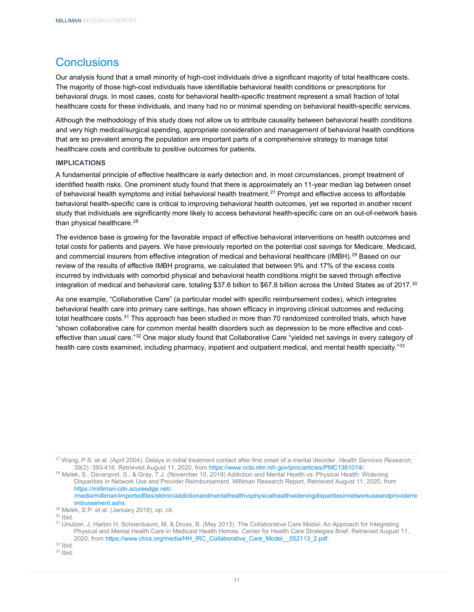## <span id="page-13-0"></span>**Conclusions**

Our analysis found that a small minority of high-cost individuals drive a significant majority of total healthcare costs. The majority of those high-cost individuals have identifiable behavioral health conditions or prescriptions for behavioral drugs. In most cases, costs for behavioral health-specific treatment represent a small fraction of total healthcare costs for these individuals, and many had no or minimal spending on behavioral health-specific services.

Although the methodology of this study does not allow us to attribute causality between behavioral health conditions and very high medical/surgical spending, appropriate consideration and management of behavioral health conditions that are so prevalent among the population are important parts of a comprehensive strategy to manage total healthcare costs and contribute to positive outcomes for patients.

### <span id="page-13-1"></span>**IMPLICATIONS**

A fundamental principle of effective healthcare is early detection and, in most circumstances, prompt treatment of identified health risks. One prominent study found that there is approximately an 11-year median lag between onset of behavioral health symptoms and initial behavioral health treatment.[27](#page-13-2) Prompt and effective access to affordable behavioral health-specific care is critical to improving behavioral health outcomes, yet we reported in another recent study that individuals are significantly more likely to access behavioral health-specific care on an out-of-network basis than physical healthcare. [28](#page-13-3)

The evidence base is growing for the favorable impact of effective behavioral interventions on health outcomes and total costs for patients and payers. We have previously reported on the potential cost savings for Medicare, Medicaid, and commercial insurers from effective integration of medical and behavioral healthcare (IMBH).[29](#page-13-4) Based on our review of the results of effective IMBH programs, we calculated that between 9% and 17% of the excess costs incurred by individuals with comorbid physical and behavioral health conditions might be saved through effective integration of medical and behavioral care, totaling \$37.6 billion to \$67.8 billion across the United States as of 2017.<sup>[30](#page-13-5)</sup>

As one example, "Collaborative Care" (a particular model with specific reimbursement codes), which integrates behavioral health care into primary care settings, has shown efficacy in improving clinical outcomes and reducing total healthcare costs.<sup>[31](#page-13-6)</sup> This approach has been studied in more than 70 randomized controlled trials, which have "shown collaborative care for common mental health disorders such as depression to be more effective and cost-effective than usual care."<sup>[32](#page-13-7)</sup> One major study found that Collaborative Care "yielded net savings in every category of health care costs examined, including pharmacy, inpatient and outpatient medical, and mental health specialty."[33](#page-13-8)

[/media/milliman/importedfiles/ektron/addictionandmentalhealthvsphysicalhealthwideningdisparitiesinnetworkuseandproviderre](https://milliman-cdn.azureedge.net/-/media/milliman/importedfiles/ektron/addictionandmentalhealthvsphysicalhealthwideningdisparitiesinnetworkuseandproviderreimbursement.ashx) [imbursement.ashx.](https://milliman-cdn.azureedge.net/-/media/milliman/importedfiles/ektron/addictionandmentalhealthvsphysicalhealthwideningdisparitiesinnetworkuseandproviderreimbursement.ashx)

<span id="page-13-2"></span><sup>27</sup> Wang, P.S. et al. (April 2004). Delays in initial treatment contact after first onset of a mental disorder. *Health Services Research*; 39(2): 393-416. Retrieved August 11, 2020, from [https://www.ncbi.nlm.nih.gov/pmc/articles/PMC1361014/.](https://www.ncbi.nlm.nih.gov/pmc/articles/PMC1361014/)

<span id="page-13-3"></span><sup>28</sup> Melek, S., Davenport, S., & Gray, T.J. (November 10, 2019) Addiction and Mental Health vs. Physical Health: Widening Disparities in Network Use and Provider Reimbursement. Milliman Research Report, Retrieved August 11, 2020, from [https://milliman-cdn.azureedge.net/-](https://milliman-cdn.azureedge.net/-/media/milliman/importedfiles/ektron/addictionandmentalhealthvsphysicalhealthwideningdisparitiesinnetworkuseandproviderreimbursement.ashx)

<span id="page-13-4"></span><sup>29</sup> Melek, S.P. et al. (January 2018), op. cit.

<span id="page-13-5"></span> $30$  Ibid.

<span id="page-13-6"></span><sup>31</sup> Unutzer, J, Harbin H, Schoenbaum, M, & Druss, B. (May 2013). The Collaborative Care Model: An Approach for Integrating Physical and Mental Health Care in Medicaid Health Homes. Center for Health Care Strategies Brief. Retrieved August 11, 2020, fro[m https://www.chcs.org/media/HH\\_IRC\\_Collaborative\\_Care\\_Model\\_\\_052113\\_2.pdf.](https://www.chcs.org/media/HH_IRC_Collaborative_Care_Model__052113_2.pdf)

<span id="page-13-7"></span> $32$  Ibid.

<span id="page-13-8"></span> $33$  Ibid.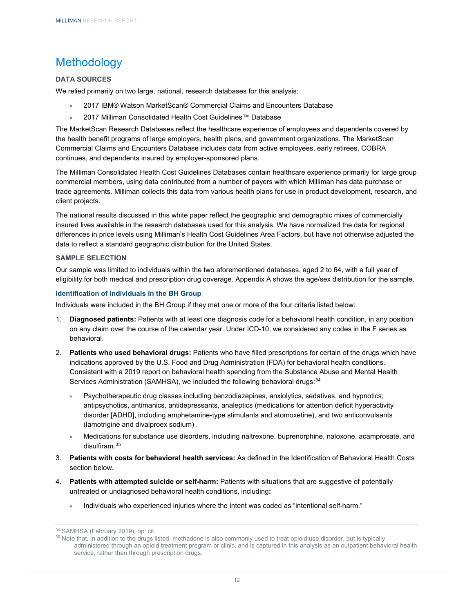## <span id="page-14-0"></span>Methodology

## <span id="page-14-1"></span>**DATA SOURCES**

We relied primarily on two large, national, research databases for this analysis:

- 2017 IBM® Watson MarketScan® Commercial Claims and Encounters Database
- 2017 Milliman Consolidated Health Cost Guidelines™ Database

The MarketScan Research Databases reflect the healthcare experience of employees and dependents covered by the health benefit programs of large employers, health plans, and government organizations. The MarketScan Commercial Claims and Encounters Database includes data from active employees, early retirees, COBRA continues, and dependents insured by employer-sponsored plans.

The Milliman Consolidated Health Cost Guidelines Databases contain healthcare experience primarily for large group commercial members, using data contributed from a number of payers with which Milliman has data purchase or trade agreements. Milliman collects this data from various health plans for use in product development, research, and client projects.

The national results discussed in this white paper reflect the geographic and demographic mixes of commercially insured lives available in the research databases used for this analysis. We have normalized the data for regional differences in price levels using Milliman's Health Cost Guidelines Area Factors, but have not otherwise adjusted the data to reflect a standard geographic distribution for the United States.

### <span id="page-14-2"></span>**SAMPLE SELECTION**

Our sample was limited to individuals within the two aforementioned databases, aged 2 to 64, with a full year of eligibility for both medical and prescription drug coverage. Appendix A shows the age/sex distribution for the sample.

## **Identification of individuals in the BH Group**

Individuals were included in the BH Group if they met one or more of the four criteria listed below:

- 1. **Diagnosed patients:** Patients with at least one diagnosis code for a behavioral health condition, in any position on any claim over the course of the calendar year. Under ICD-10, we considered any codes in the F series as behavioral.
- 2. **Patients who used behavioral drugs:** Patients who have filled prescriptions for certain of the drugs which have indications approved by the U.S. Food and Drug Administration (FDA) for behavioral health conditions. Consistent with a 2019 report on behavioral health spending from the Substance Abuse and Mental Health Services Administration (SAMHSA), we included the following behavioral drugs: [34](#page-14-3)
	- Psychotherapeutic drug classes including benzodiazepines, anxiolytics, sedatives, and hypnotics; antipsychotics, antimanics, antidepressants, analeptics (medications for attention deficit hyperactivity disorder [ADHD], including amphetamine-type stimulants and atomoxetine), and two anticonvulsants (lamotrigine and divalproex sodium) .
	- Medications for substance use disorders, including naltrexone, buprenorphine, naloxone, acamprosate, and disulfiram. [35](#page-14-4)
- 3. **Patients with costs for behavioral health services:** As defined in the Identification of Behavioral Health Costs section below.
- 4. **Patients with attempted suicide or self-harm:** Patients with situations that are suggestive of potentially untreated or undiagnosed behavioral health conditions, including**:**
	- Individuals who experienced injuries where the intent was coded as "intentional self-harm."

<sup>34</sup> SAMHSA (February 2019), op. cit.

<span id="page-14-4"></span><span id="page-14-3"></span><sup>&</sup>lt;sup>35</sup> Note that, in addition to the drugs listed, methadone is also commonly used to treat opioid use disorder, but is typically administered through an opioid treatment program or clinic, and is captured in this analysis as an outpatient behavioral health service, rather than through prescription drugs.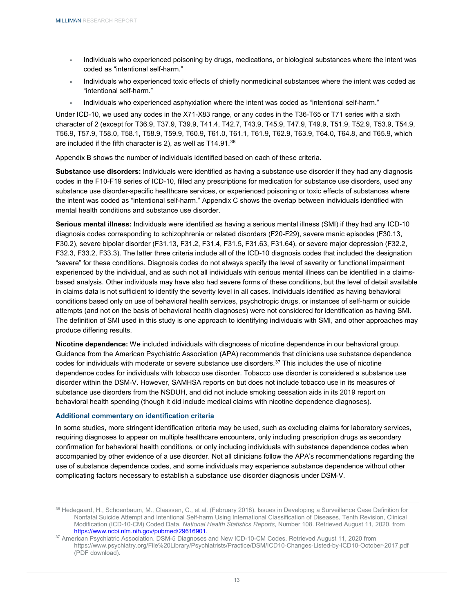- Individuals who experienced poisoning by drugs, medications, or biological substances where the intent was coded as "intentional self-harm."
- Individuals who experienced toxic effects of chiefly nonmedicinal substances where the intent was coded as "intentional self-harm."
- Individuals who experienced asphyxiation where the intent was coded as "intentional self-harm."

Under ICD-10, we used any codes in the X71-X83 range, or any codes in the T36-T65 or T71 series with a sixth character of 2 (except for T36.9, T37.9, T39.9, T41.4, T42.7, T43.9, T45.9, T47.9, T49.9, T51.9, T52.9, T53.9, T54.9, T56.9, T57.9, T58.0, T58.1, T58.9, T59.9, T60.9, T61.0, T61.1, T61.9, T62.9, T63.9, T64.0, T64.8, and T65.9, which are included if the fifth character is 2), as well as T14.91.<sup>[36](#page-15-0)</sup>

Appendix B shows the number of individuals identified based on each of these criteria.

**Substance use disorders:** Individuals were identified as having a substance use disorder if they had any diagnosis codes in the F10-F19 series of ICD-10, filled any prescriptions for medication for substance use disorders, used any substance use disorder-specific healthcare services, or experienced poisoning or toxic effects of substances where the intent was coded as "intentional self-harm." Appendix C shows the overlap between individuals identified with mental health conditions and substance use disorder.

**Serious mental illness:** Individuals were identified as having a serious mental illness (SMI) if they had any ICD-10 diagnosis codes corresponding to schizophrenia or related disorders (F20-F29), severe manic episodes (F30.13, F30.2), severe bipolar disorder (F31.13, F31.2, F31.4, F31.5, F31.63, F31.64), or severe major depression (F32.2, F32.3, F33.2, F33.3). The latter three criteria include all of the ICD-10 diagnosis codes that included the designation "severe" for these conditions. Diagnosis codes do not always specify the level of severity or functional impairment experienced by the individual, and as such not all individuals with serious mental illness can be identified in a claimsbased analysis. Other individuals may have also had severe forms of these conditions, but the level of detail available in claims data is not sufficient to identify the severity level in all cases. Individuals identified as having behavioral conditions based only on use of behavioral health services, psychotropic drugs, or instances of self-harm or suicide attempts (and not on the basis of behavioral health diagnoses) were not considered for identification as having SMI. The definition of SMI used in this study is one approach to identifying individuals with SMI, and other approaches may produce differing results.

**Nicotine dependence:** We included individuals with diagnoses of nicotine dependence in our behavioral group. Guidance from the American Psychiatric Association (APA) recommends that clinicians use substance dependence codes for individuals with moderate or severe substance use disorders.[37](#page-15-1) This includes the use of nicotine dependence codes for individuals with tobacco use disorder. Tobacco use disorder is considered a substance use disorder within the DSM-V. However, SAMHSA reports on but does not include tobacco use in its measures of substance use disorders from the NSDUH, and did not include smoking cessation aids in its 2019 report on behavioral health spending (though it did include medical claims with nicotine dependence diagnoses).

#### **Additional commentary on identification criteria**

In some studies, more stringent identification criteria may be used, such as excluding claims for laboratory services, requiring diagnoses to appear on multiple healthcare encounters, only including prescription drugs as secondary confirmation for behavioral health conditions, or only including individuals with substance dependence codes when accompanied by other evidence of a use disorder. Not all clinicians follow the APA's recommendations regarding the use of substance dependence codes, and some individuals may experience substance dependence without other complicating factors necessary to establish a substance use disorder diagnosis under DSM-V.

<span id="page-15-0"></span><sup>36</sup> Hedegaard, H., Schoenbaum, M., Claassen, C., et al. (February 2018). Issues in Developing a Surveillance Case Definition for Nonfatal Suicide Attempt and Intentional Self-harm Using International Classification of Diseases, Tenth Revision, Clinical Modification (ICD-10-CM) Coded Data. *National Health Statistics Reports*, Number 108. Retrieved August 11, 2020, from https://www.ncbi.nlm.nih.gov/pubmed/29616901.

<span id="page-15-1"></span><sup>37</sup> American Psychiatric Association. DSM-5 Diagnoses and New ICD-10-CM Codes. Retrieved August 11, 2020 from https://www.psychiatry.org/File%20Library/Psychiatrists/Practice/DSM/ICD10-Changes-Listed-by-ICD10-October-2017.pdf (PDF download).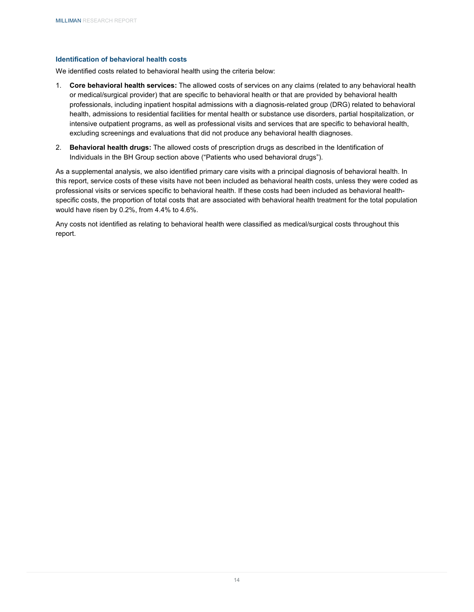## **Identification of behavioral health costs**

We identified costs related to behavioral health using the criteria below:

- 1. **Core behavioral health services:** The allowed costs of services on any claims (related to any behavioral health or medical/surgical provider) that are specific to behavioral health or that are provided by behavioral health professionals, including inpatient hospital admissions with a diagnosis-related group (DRG) related to behavioral health, admissions to residential facilities for mental health or substance use disorders, partial hospitalization, or intensive outpatient programs, as well as professional visits and services that are specific to behavioral health, excluding screenings and evaluations that did not produce any behavioral health diagnoses.
- 2. **Behavioral health drugs:** The allowed costs of prescription drugs as described in the Identification of Individuals in the BH Group section above ("Patients who used behavioral drugs").

As a supplemental analysis, we also identified primary care visits with a principal diagnosis of behavioral health. In this report, service costs of these visits have not been included as behavioral health costs, unless they were coded as professional visits or services specific to behavioral health. If these costs had been included as behavioral healthspecific costs, the proportion of total costs that are associated with behavioral health treatment for the total population would have risen by 0.2%, from 4.4% to 4.6%.

Any costs not identified as relating to behavioral health were classified as medical/surgical costs throughout this report.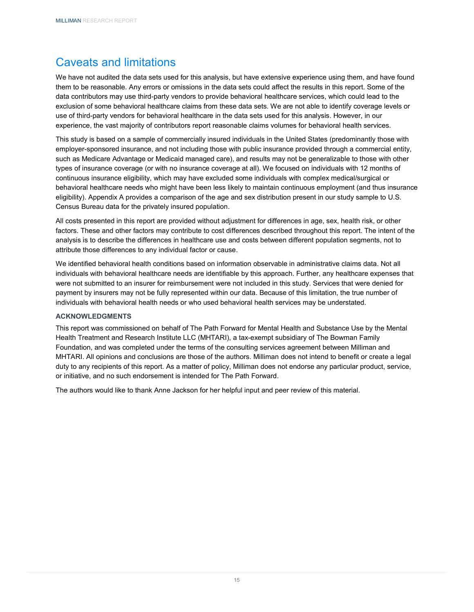## <span id="page-17-0"></span>Caveats and limitations

We have not audited the data sets used for this analysis, but have extensive experience using them, and have found them to be reasonable. Any errors or omissions in the data sets could affect the results in this report. Some of the data contributors may use third-party vendors to provide behavioral healthcare services, which could lead to the exclusion of some behavioral healthcare claims from these data sets. We are not able to identify coverage levels or use of third-party vendors for behavioral healthcare in the data sets used for this analysis. However, in our experience, the vast majority of contributors report reasonable claims volumes for behavioral health services.

This study is based on a sample of commercially insured individuals in the United States (predominantly those with employer-sponsored insurance, and not including those with public insurance provided through a commercial entity, such as Medicare Advantage or Medicaid managed care), and results may not be generalizable to those with other types of insurance coverage (or with no insurance coverage at all). We focused on individuals with 12 months of continuous insurance eligibility, which may have excluded some individuals with complex medical/surgical or behavioral healthcare needs who might have been less likely to maintain continuous employment (and thus insurance eligibility). Appendix A provides a comparison of the age and sex distribution present in our study sample to U.S. Census Bureau data for the privately insured population.

All costs presented in this report are provided without adjustment for differences in age, sex, health risk, or other factors. These and other factors may contribute to cost differences described throughout this report. The intent of the analysis is to describe the differences in healthcare use and costs between different population segments, not to attribute those differences to any individual factor or cause.

We identified behavioral health conditions based on information observable in administrative claims data. Not all individuals with behavioral healthcare needs are identifiable by this approach. Further, any healthcare expenses that were not submitted to an insurer for reimbursement were not included in this study. Services that were denied for payment by insurers may not be fully represented within our data. Because of this limitation, the true number of individuals with behavioral health needs or who used behavioral health services may be understated.

## <span id="page-17-1"></span>**ACKNOWLEDGMENTS**

This report was commissioned on behalf of The Path Forward for Mental Health and Substance Use by the Mental Health Treatment and Research Institute LLC (MHTARI), a tax-exempt subsidiary of The Bowman Family Foundation, and was completed under the terms of the consulting services agreement between Milliman and MHTARI. All opinions and conclusions are those of the authors. Milliman does not intend to benefit or create a legal duty to any recipients of this report. As a matter of policy, Milliman does not endorse any particular product, service, or initiative, and no such endorsement is intended for The Path Forward.

The authors would like to thank Anne Jackson for her helpful input and peer review of this material.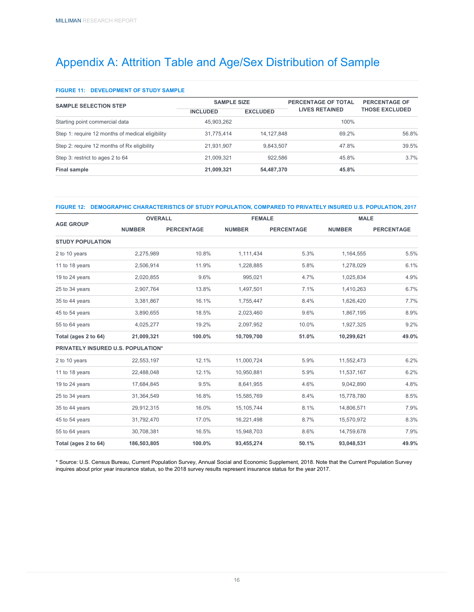## <span id="page-18-0"></span>Appendix A: Attrition Table and Age/Sex Distribution of Sample

#### **FIGURE 11: DEVELOPMENT OF STUDY SAMPLE**

| <b>SAMPLE SELECTION STEP</b>                     | <b>SAMPLE SIZE</b> |                 | PERCENTAGE OF TOTAL   | <b>PERCENTAGE OF</b><br><b>THOSE EXCLUDED</b> |  |
|--------------------------------------------------|--------------------|-----------------|-----------------------|-----------------------------------------------|--|
|                                                  | <b>INCLUDED</b>    | <b>EXCLUDED</b> | <b>LIVES RETAINED</b> |                                               |  |
| Starting point commercial data                   | 45.903.262         |                 | 100%                  |                                               |  |
| Step 1: require 12 months of medical eligibility | 31.775.414         | 14, 127, 848    | 69.2%                 | 56.8%                                         |  |
| Step 2: require 12 months of Rx eligibility      | 21,931,907         | 9,843,507       | 47.8%                 | 39.5%                                         |  |
| Step 3: restrict to ages 2 to 64                 | 21,009,321         | 922.586         | 45.8%                 | 3.7%                                          |  |
| Final sample                                     | 21,009,321         | 54,487,370      | 45.8%                 |                                               |  |

#### **FIGURE 12: DEMOGRAPHIC CHARACTERISTICS OF STUDY POPULATION, COMPARED TO PRIVATELY INSURED U.S. POPULATION, 2017**

|                                           | <b>OVERALL</b> |                   | <b>FEMALE</b> |                   |               | <b>MALE</b>       |  |
|-------------------------------------------|----------------|-------------------|---------------|-------------------|---------------|-------------------|--|
| <b>AGE GROUP</b>                          | <b>NUMBER</b>  | <b>PERCENTAGE</b> | <b>NUMBER</b> | <b>PERCENTAGE</b> | <b>NUMBER</b> | <b>PERCENTAGE</b> |  |
| <b>STUDY POPULATION</b>                   |                |                   |               |                   |               |                   |  |
| 2 to 10 years                             | 2,275,989      | 10.8%             | 1,111,434     | 5.3%              | 1,164,555     | 5.5%              |  |
| 11 to 18 years                            | 2,506,914      | 11.9%             | 1,228,885     | 5.8%              | 1,278,029     | 6.1%              |  |
| 19 to 24 years                            | 2,020,855      | 9.6%              | 995,021       | 4.7%              | 1,025,834     | 4.9%              |  |
| 25 to 34 years                            | 2,907,764      | 13.8%             | 1,497,501     | 7.1%              | 1,410,263     | 6.7%              |  |
| 35 to 44 years                            | 3,381,867      | 16.1%             | 1,755,447     | 8.4%              | 1,626,420     | 7.7%              |  |
| 45 to 54 years                            | 3,890,655      | 18.5%             | 2,023,460     | 9.6%              | 1,867,195     | 8.9%              |  |
| 55 to 64 years                            | 4,025,277      | 19.2%             | 2,097,952     | 10.0%             | 1,927,325     | 9.2%              |  |
| Total (ages 2 to 64)                      | 21,009,321     | 100.0%            | 10,709,700    | 51.0%             | 10,299,621    | 49.0%             |  |
| <b>PRIVATELY INSURED U.S. POPULATION*</b> |                |                   |               |                   |               |                   |  |
| 2 to 10 years                             | 22,553,197     | 12.1%             | 11,000,724    | 5.9%              | 11,552,473    | 6.2%              |  |
| 11 to 18 years                            | 22,488,048     | 12.1%             | 10,950,881    | 5.9%              | 11,537,167    | 6.2%              |  |
| 19 to 24 years                            | 17,684,845     | 9.5%              | 8,641,955     | 4.6%              | 9,042,890     | 4.8%              |  |
| 25 to 34 years                            | 31,364,549     | 16.8%             | 15,585,769    | 8.4%              | 15,778,780    | 8.5%              |  |
| 35 to 44 years                            | 29,912,315     | 16.0%             | 15, 105, 744  | 8.1%              | 14,806,571    | 7.9%              |  |
| 45 to 54 years                            | 31,792,470     | 17.0%             | 16,221,498    | 8.7%              | 15,570,972    | 8.3%              |  |
| 55 to 64 years                            | 30,708,381     | 16.5%             | 15,948,703    | 8.6%              | 14,759,678    | 7.9%              |  |
| Total (ages 2 to 64)                      | 186,503,805    | 100.0%            | 93,455,274    | 50.1%             | 93,048,531    | 49.9%             |  |

\* Source: U.S. Census Bureau, Current Population Survey, Annual Social and Economic Supplement, 2018. Note that the Current Population Survey inquires about prior year insurance status, so the 2018 survey results represent insurance status for the year 2017.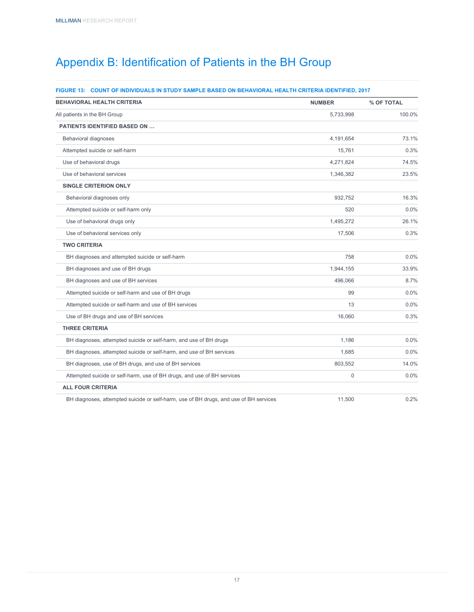# <span id="page-19-0"></span>Appendix B: Identification of Patients in the BH Group

### **FIGURE 13: COUNT OF INDIVIDUALS IN STUDY SAMPLE BASED ON BEHAVIORAL HEALTH CRITERIA IDENTIFIED, 2017**

| <b>BEHAVIORAL HEALTH CRITERIA</b>                                                     | <b>NUMBER</b> | % OF TOTAL |
|---------------------------------------------------------------------------------------|---------------|------------|
| All patients in the BH Group                                                          | 5,733,998     | 100.0%     |
| <b>PATIENTS IDENTIFIED BASED ON </b>                                                  |               |            |
| <b>Behavioral diagnoses</b>                                                           | 4,191,654     | 73.1%      |
| Attempted suicide or self-harm                                                        | 15.761        | 0.3%       |
| Use of behavioral drugs                                                               | 4,271,824     | 74.5%      |
| Use of behavioral services                                                            | 1,346,382     | 23.5%      |
| <b>SINGLE CRITERION ONLY</b>                                                          |               |            |
| Behavioral diagnoses only                                                             | 932,752       | 16.3%      |
| Attempted suicide or self-harm only                                                   | 520           | 0.0%       |
| Use of behavioral drugs only                                                          | 1,495,272     | 26.1%      |
| Use of behavioral services only                                                       | 17,506        | 0.3%       |
| <b>TWO CRITERIA</b>                                                                   |               |            |
| BH diagnoses and attempted suicide or self-harm                                       | 758           | 0.0%       |
| BH diagnoses and use of BH drugs                                                      | 1,944,155     | 33.9%      |
| BH diagnoses and use of BH services                                                   | 496,066       | 8.7%       |
| Attempted suicide or self-harm and use of BH drugs                                    | 99            | 0.0%       |
| Attempted suicide or self-harm and use of BH services                                 | 13            | 0.0%       |
| Use of BH drugs and use of BH services                                                | 16,060        | 0.3%       |
| <b>THREE CRITERIA</b>                                                                 |               |            |
| BH diagnoses, attempted suicide or self-harm, and use of BH drugs                     | 1.186         | 0.0%       |
| BH diagnoses, attempted suicide or self-harm, and use of BH services                  | 1,685         | 0.0%       |
| BH diagnoses, use of BH drugs, and use of BH services                                 | 803,552       | 14.0%      |
| Attempted suicide or self-harm, use of BH drugs, and use of BH services               | 0             | 0.0%       |
| <b>ALL FOUR CRITERIA</b>                                                              |               |            |
| BH diagnoses, attempted suicide or self-harm, use of BH drugs, and use of BH services | 11,500        | 0.2%       |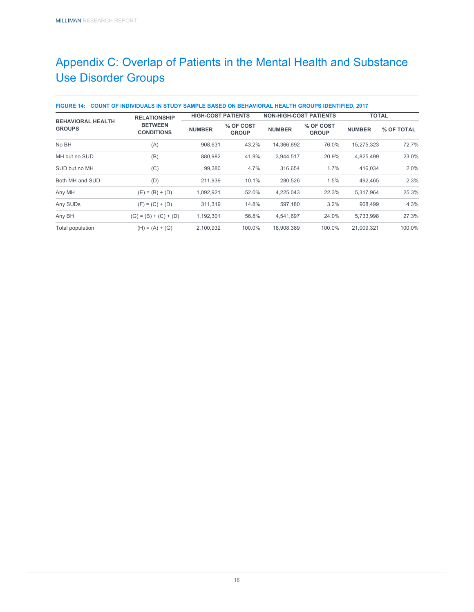# <span id="page-20-0"></span>Appendix C: Overlap of Patients in the Mental Health and Substance Use Disorder Groups

| <b>BEHAVIORAL HEALTH</b><br><b>GROUPS</b> | <b>RELATIONSHIP</b>                 | <b>HIGH-COST PATIENTS</b> |                           | <b>NON-HIGH-COST PATIENTS</b> |                           |               | <b>TOTAL</b> |  |
|-------------------------------------------|-------------------------------------|---------------------------|---------------------------|-------------------------------|---------------------------|---------------|--------------|--|
|                                           | <b>BETWEEN</b><br><b>CONDITIONS</b> | <b>NUMBER</b>             | % OF COST<br><b>GROUP</b> | <b>NUMBER</b>                 | % OF COST<br><b>GROUP</b> | <b>NUMBER</b> | % OF TOTAL   |  |
| No BH                                     | (A)                                 | 908,631                   | 43.2%                     | 14,366,692                    | 76.0%                     | 15,275,323    | 72.7%        |  |
| MH but no SUD                             | (B)                                 | 880,982                   | 41.9%                     | 3,944,517                     | 20.9%                     | 4,825,499     | 23.0%        |  |
| SUD but no MH                             | (C)                                 | 99,380                    | 4.7%                      | 316,654                       | 1.7%                      | 416,034       | 2.0%         |  |
| Both MH and SUD                           | (D)                                 | 211,939                   | 10.1%                     | 280,526                       | 1.5%                      | 492,465       | 2.3%         |  |
| Any MH                                    | $(E) = (B) + (D)$                   | 1,092,921                 | 52.0%                     | 4,225,043                     | 22.3%                     | 5,317,964     | 25.3%        |  |
| Any SUDs                                  | $(F) = (C) + (D)$                   | 311,319                   | 14.8%                     | 597,180                       | 3.2%                      | 908,499       | 4.3%         |  |
| Any BH                                    | $(G) = (B) + (C) + (D)$             | 1,192,301                 | 56.8%                     | 4.541.697                     | 24.0%                     | 5,733,998     | 27.3%        |  |
| Total population                          | $(H) = (A) + (G)$                   | 2,100,932                 | 100.0%                    | 18,908,389                    | 100.0%                    | 21,009,321    | 100.0%       |  |